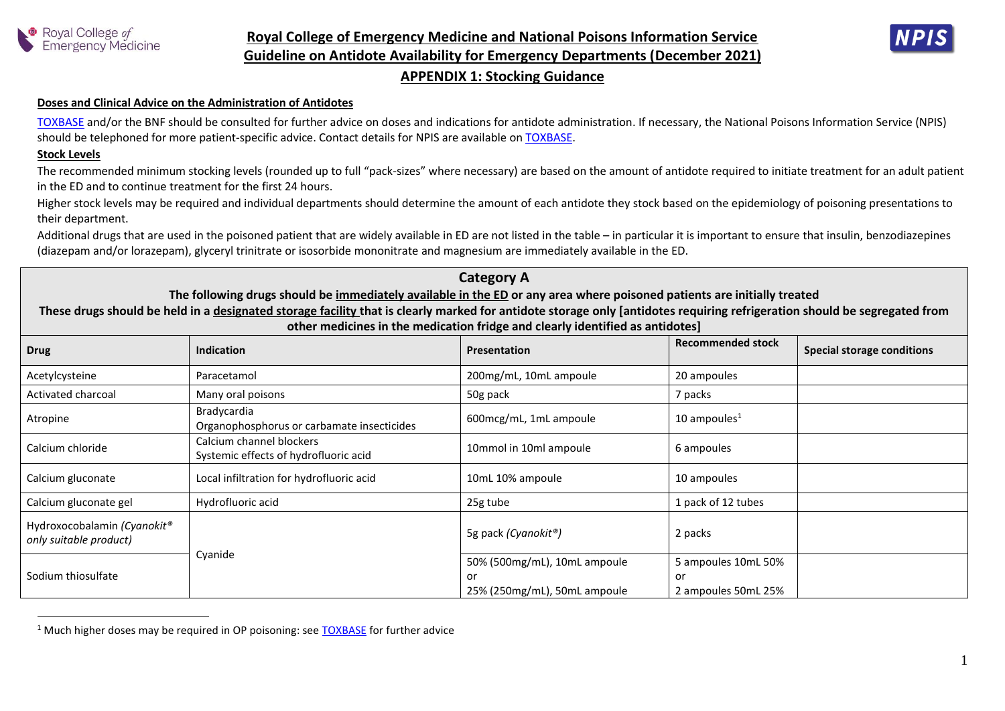



#### **Doses and Clinical Advice on the Administration of Antidotes**

[TOXBASE](https://www.toxbase.org/) and/or the BNF should be consulted for further advice on doses and indications for antidote administration. If necessary, the National Poisons Information Service (NPIS) should be telephoned for more patient-specific advice. Contact details for NPIS are available on [TOXBASE.](https://www.toxbase.org/)

#### **Stock Levels**

 $\overline{a}$ 

The recommended minimum stocking levels (rounded up to full "pack-sizes" where necessary) are based on the amount of antidote required to initiate treatment for an adult patient in the ED and to continue treatment for the first 24 hours.

Higher stock levels may be required and individual departments should determine the amount of each antidote they stock based on the epidemiology of poisoning presentations to their department.

Additional drugs that are used in the poisoned patient that are widely available in ED are not listed in the table – in particular it is important to ensure that insulin, benzodiazepines (diazepam and/or lorazepam), glyceryl trinitrate or isosorbide mononitrate and magnesium are immediately available in the ED.

# **Category A**

## **The following drugs should be immediately available in the ED or any area where poisoned patients are initially treated**

**These drugs should be held in a designated storage facility that is clearly marked for antidote storage only [antidotes requiring refrigeration should be segregated from other medicines in the medication fridge and clearly identified as antidotes]**

| <b>Drug</b>                                           | Indication                                                        | Presentation                                                       | <b>Recommended stock</b>                         | <b>Special storage conditions</b> |
|-------------------------------------------------------|-------------------------------------------------------------------|--------------------------------------------------------------------|--------------------------------------------------|-----------------------------------|
| Acetylcysteine                                        | Paracetamol                                                       | 200mg/mL, 10mL ampoule                                             | 20 ampoules                                      |                                   |
| Activated charcoal                                    | Many oral poisons                                                 | 50g pack                                                           | 7 packs                                          |                                   |
| Atropine                                              | Bradycardia<br>Organophosphorus or carbamate insecticides         | 600mcg/mL, 1mL ampoule                                             | 10 ampoules $1$                                  |                                   |
| Calcium chloride                                      | Calcium channel blockers<br>Systemic effects of hydrofluoric acid | 10mmol in 10ml ampoule                                             | 6 ampoules                                       |                                   |
| Calcium gluconate                                     | Local infiltration for hydrofluoric acid                          | 10mL 10% ampoule                                                   | 10 ampoules                                      |                                   |
| Calcium gluconate gel                                 | Hydrofluoric acid                                                 | 25g tube                                                           | 1 pack of 12 tubes                               |                                   |
| Hydroxocobalamin (Cyanokit®<br>only suitable product) |                                                                   | 5g pack (Cyanokit®)                                                | 2 packs                                          |                                   |
| Sodium thiosulfate                                    | Cyanide                                                           | 50% (500mg/mL), 10mL ampoule<br>or<br>25% (250mg/mL), 50mL ampoule | 5 ampoules 10mL 50%<br>or<br>2 ampoules 50mL 25% |                                   |

<sup>&</sup>lt;sup>1</sup> Much higher doses may be required in OP poisoning: see [TOXBASE](https://www.toxbase.org/) for further advice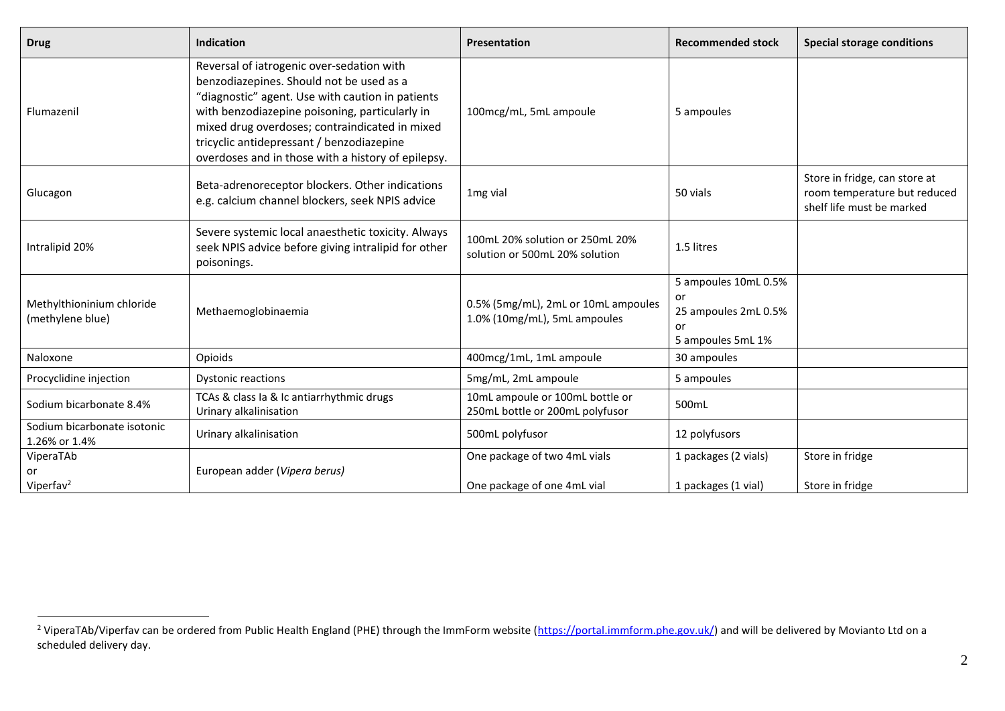| <b>Drug</b>                                   | <b>Indication</b>                                                                                                                                                                                                                                                                                                                                | <b>Presentation</b>                                                 | <b>Recommended stock</b>                                                      | <b>Special storage conditions</b>                                                          |
|-----------------------------------------------|--------------------------------------------------------------------------------------------------------------------------------------------------------------------------------------------------------------------------------------------------------------------------------------------------------------------------------------------------|---------------------------------------------------------------------|-------------------------------------------------------------------------------|--------------------------------------------------------------------------------------------|
| Flumazenil                                    | Reversal of iatrogenic over-sedation with<br>benzodiazepines. Should not be used as a<br>"diagnostic" agent. Use with caution in patients<br>with benzodiazepine poisoning, particularly in<br>mixed drug overdoses; contraindicated in mixed<br>tricyclic antidepressant / benzodiazepine<br>overdoses and in those with a history of epilepsy. | 100mcg/mL, 5mL ampoule                                              | 5 ampoules                                                                    |                                                                                            |
| Glucagon                                      | Beta-adrenoreceptor blockers. Other indications<br>e.g. calcium channel blockers, seek NPIS advice                                                                                                                                                                                                                                               | 1 <sub>mg</sub> vial                                                | 50 vials                                                                      | Store in fridge, can store at<br>room temperature but reduced<br>shelf life must be marked |
| Intralipid 20%                                | Severe systemic local anaesthetic toxicity. Always<br>seek NPIS advice before giving intralipid for other<br>poisonings.                                                                                                                                                                                                                         | 100mL 20% solution or 250mL 20%<br>solution or 500mL 20% solution   | 1.5 litres                                                                    |                                                                                            |
| Methylthioninium chloride<br>(methylene blue) | Methaemoglobinaemia                                                                                                                                                                                                                                                                                                                              | 0.5% (5mg/mL), 2mL or 10mL ampoules<br>1.0% (10mg/mL), 5mL ampoules | 5 ampoules 10mL 0.5%<br>or<br>25 ampoules 2mL 0.5%<br>or<br>5 ampoules 5mL 1% |                                                                                            |
| Naloxone                                      | Opioids                                                                                                                                                                                                                                                                                                                                          | 400mcg/1mL, 1mL ampoule                                             | 30 ampoules                                                                   |                                                                                            |
| Procyclidine injection                        | <b>Dystonic reactions</b>                                                                                                                                                                                                                                                                                                                        | 5mg/mL, 2mL ampoule                                                 | 5 ampoules                                                                    |                                                                                            |
| Sodium bicarbonate 8.4%                       | TCAs & class Ia & Ic antiarrhythmic drugs<br>Urinary alkalinisation                                                                                                                                                                                                                                                                              | 10mL ampoule or 100mL bottle or<br>250mL bottle or 200mL polyfusor  | 500mL                                                                         |                                                                                            |
| Sodium bicarbonate isotonic<br>1.26% or 1.4%  | Urinary alkalinisation                                                                                                                                                                                                                                                                                                                           | 500mL polyfusor                                                     | 12 polyfusors                                                                 |                                                                                            |
| ViperaTAb<br>or                               | European adder (Vipera berus)                                                                                                                                                                                                                                                                                                                    | One package of two 4mL vials                                        | 1 packages (2 vials)                                                          | Store in fridge                                                                            |
| Viperfa $v^2$                                 |                                                                                                                                                                                                                                                                                                                                                  | One package of one 4mL vial                                         | 1 packages (1 vial)                                                           | Store in fridge                                                                            |

 $\overline{a}$ 

<sup>&</sup>lt;sup>2</sup> ViperaTAb/Viperfav can be ordered from Public Health England (PHE) through the ImmForm website [\(https://portal.immform.phe.gov.uk/\)](https://portal.immform.phe.gov.uk/) and will be delivered by Movianto Ltd on a scheduled delivery day.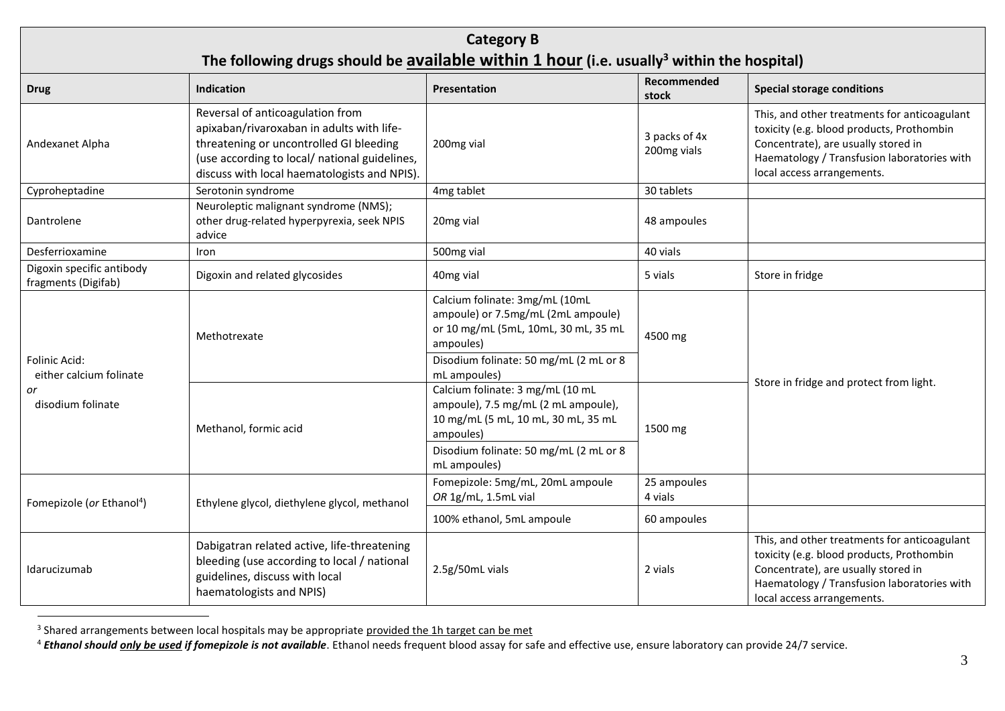| <b>Category B</b><br>The following drugs should be available within 1 hour (i.e. usually <sup>3</sup> within the hospital) |                                                                                                                                                                                                                           |                                                                                                                                                                                                       |                              |                                                                                                                                                                                                               |  |
|----------------------------------------------------------------------------------------------------------------------------|---------------------------------------------------------------------------------------------------------------------------------------------------------------------------------------------------------------------------|-------------------------------------------------------------------------------------------------------------------------------------------------------------------------------------------------------|------------------------------|---------------------------------------------------------------------------------------------------------------------------------------------------------------------------------------------------------------|--|
| <b>Drug</b>                                                                                                                | <b>Indication</b>                                                                                                                                                                                                         | Presentation                                                                                                                                                                                          | Recommended<br>stock         | <b>Special storage conditions</b>                                                                                                                                                                             |  |
| Andexanet Alpha                                                                                                            | Reversal of anticoagulation from<br>apixaban/rivaroxaban in adults with life-<br>threatening or uncontrolled GI bleeding<br>(use according to local/ national guidelines,<br>discuss with local haematologists and NPIS). | 200mg vial                                                                                                                                                                                            | 3 packs of 4x<br>200mg vials | This, and other treatments for anticoagulant<br>toxicity (e.g. blood products, Prothombin<br>Concentrate), are usually stored in<br>Haematology / Transfusion laboratories with<br>local access arrangements. |  |
| Cyproheptadine                                                                                                             | Serotonin syndrome                                                                                                                                                                                                        | 4mg tablet                                                                                                                                                                                            | 30 tablets                   |                                                                                                                                                                                                               |  |
| Dantrolene                                                                                                                 | Neuroleptic malignant syndrome (NMS);<br>other drug-related hyperpyrexia, seek NPIS<br>advice                                                                                                                             | 20mg vial                                                                                                                                                                                             | 48 ampoules                  |                                                                                                                                                                                                               |  |
| Desferrioxamine                                                                                                            | Iron                                                                                                                                                                                                                      | 500mg vial                                                                                                                                                                                            | 40 vials                     |                                                                                                                                                                                                               |  |
| Digoxin specific antibody<br>fragments (Digifab)                                                                           | Digoxin and related glycosides                                                                                                                                                                                            | 40mg vial                                                                                                                                                                                             | 5 vials                      | Store in fridge                                                                                                                                                                                               |  |
| Folinic Acid:<br>either calcium folinate<br>or<br>disodium folinate                                                        | Methotrexate                                                                                                                                                                                                              | Calcium folinate: 3mg/mL (10mL<br>ampoule) or 7.5mg/mL (2mL ampoule)<br>or 10 mg/mL (5mL, 10mL, 30 mL, 35 mL<br>ampoules)<br>Disodium folinate: 50 mg/mL (2 mL or 8                                   | 4500 mg                      | Store in fridge and protect from light.                                                                                                                                                                       |  |
|                                                                                                                            | Methanol, formic acid                                                                                                                                                                                                     | mL ampoules)<br>Calcium folinate: 3 mg/mL (10 mL<br>ampoule), 7.5 mg/mL (2 mL ampoule),<br>10 mg/mL (5 mL, 10 mL, 30 mL, 35 mL<br>ampoules)<br>Disodium folinate: 50 mg/mL (2 mL or 8<br>mL ampoules) | 1500 mg                      |                                                                                                                                                                                                               |  |
| Fomepizole (or Ethanol <sup>4</sup> )                                                                                      | Ethylene glycol, diethylene glycol, methanol                                                                                                                                                                              | Fomepizole: 5mg/mL, 20mL ampoule<br>OR 1g/mL, 1.5mL vial                                                                                                                                              | 25 ampoules<br>4 vials       |                                                                                                                                                                                                               |  |
|                                                                                                                            |                                                                                                                                                                                                                           | 100% ethanol, 5mL ampoule                                                                                                                                                                             | 60 ampoules                  |                                                                                                                                                                                                               |  |
| Idarucizumab                                                                                                               | Dabigatran related active, life-threatening<br>bleeding (use according to local / national<br>guidelines, discuss with local<br>haematologists and NPIS)                                                                  | 2.5g/50mL vials                                                                                                                                                                                       | 2 vials                      | This, and other treatments for anticoagulant<br>toxicity (e.g. blood products, Prothombin<br>Concentrate), are usually stored in<br>Haematology / Transfusion laboratories with<br>local access arrangements. |  |

<sup>&</sup>lt;sup>3</sup> Shared arrangements between local hospitals may be appropriate <u>provided the 1h target can be met</u>

 $\overline{a}$ 

<sup>4</sup> *Ethanol should only be used if fomepizole is not available*. Ethanol needs frequent blood assay for safe and effective use, ensure laboratory can provide 24/7 service.